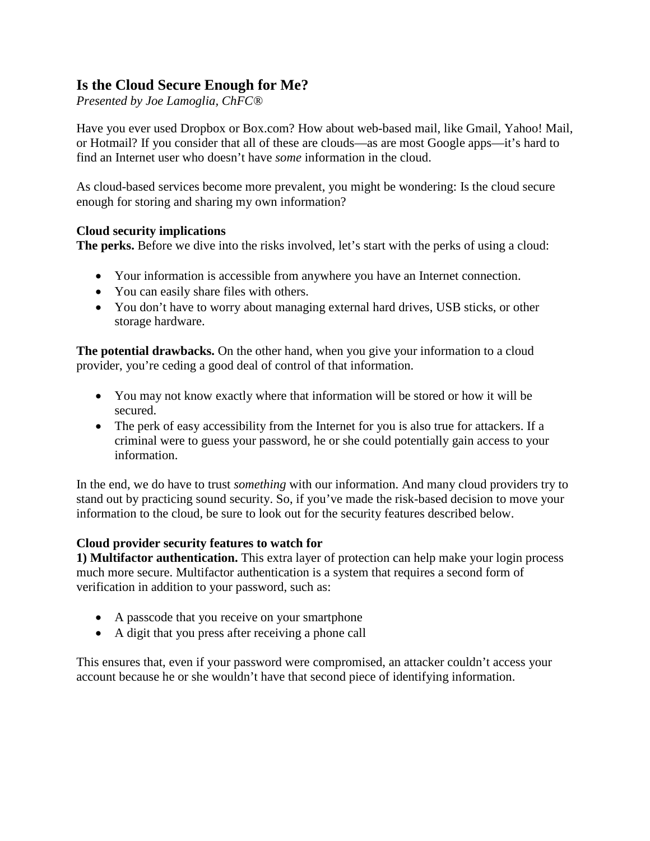## **Is the Cloud Secure Enough for Me?**

*Presented by Joe Lamoglia, ChFC®*

Have you ever used Dropbox or Box.com? How about web-based mail, like Gmail, Yahoo! Mail, or Hotmail? If you consider that all of these are clouds—as are most Google apps—it's hard to find an Internet user who doesn't have *some* information in the cloud.

As cloud-based services become more prevalent, you might be wondering: Is the cloud secure enough for storing and sharing my own information?

## **Cloud security implications**

**The perks.** Before we dive into the risks involved, let's start with the perks of using a cloud:

- Your information is accessible from anywhere you have an Internet connection.
- You can easily share files with others.
- You don't have to worry about managing external hard drives, USB sticks, or other storage hardware.

**The potential drawbacks.** On the other hand, when you give your information to a cloud provider, you're ceding a good deal of control of that information.

- You may not know exactly where that information will be stored or how it will be secured.
- The perk of easy accessibility from the Internet for you is also true for attackers. If a criminal were to guess your password, he or she could potentially gain access to your information.

In the end, we do have to trust *something* with our information. And many cloud providers try to stand out by practicing sound security. So, if you've made the risk-based decision to move your information to the cloud, be sure to look out for the security features described below.

## **Cloud provider security features to watch for**

**1) Multifactor authentication.** This extra layer of protection can help make your login process much more secure. Multifactor authentication is a system that requires a second form of verification in addition to your password, such as:

- A passcode that you receive on your smartphone
- A digit that you press after receiving a phone call

This ensures that, even if your password were compromised, an attacker couldn't access your account because he or she wouldn't have that second piece of identifying information.